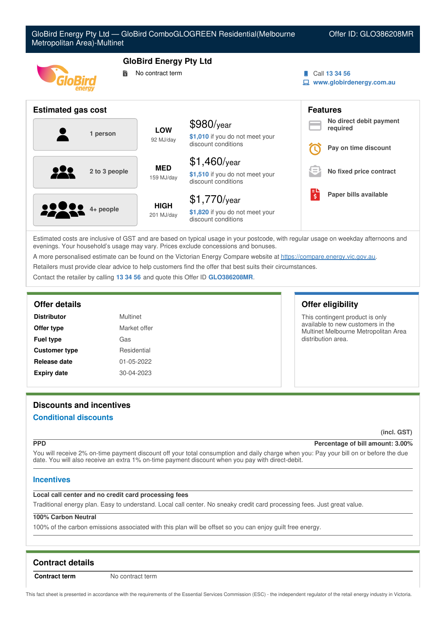| Metropolitan Area)-Multinet | GloBird Energy Pty Ltd — GloBird ComboGLOGREEN Residential(Melbourne                            | Offer ID: GLO386208MR                                       |
|-----------------------------|-------------------------------------------------------------------------------------------------|-------------------------------------------------------------|
| energy                      | <b>GloBird Energy Pty Ltd</b><br>No contract term<br>鬜                                          | Call 13 34 56<br>$\Box$ www.globirdenergy.com.au            |
| <b>Estimated gas cost</b>   |                                                                                                 | <b>Features</b>                                             |
| 1 person                    | \$980/year<br><b>LOW</b><br>\$1,010 if you do not meet your<br>92 MJ/day<br>discount conditions | No direct debit payment<br>required<br>Pay on time discount |

| <b>22000</b> 4+ people | <b>HIGH</b><br>201 MJ/day | $$1,770$ /year<br>\$1,820 if you do not meet your<br>discount conditions                                                         | н | Paper bills available |
|------------------------|---------------------------|----------------------------------------------------------------------------------------------------------------------------------|---|-----------------------|
|                        |                           | Estimated costs are inclusive of GST and are based on typical usage in your postcode, with requier usage on weekday afternoons a |   |                       |

\$1,460/year

discount conditions

**\$1,510** if you do not meet your

typical usage in your postcode, with regular usage on weekday afternoons and evenings. Your household's usage may vary. Prices exclude concessions and bonuses.

A more personalised estimate can be found on the Victorian Energy Compare website at <https://compare.energy.vic.gov.au>.

Retailers must provide clear advice to help customers find the offer that best suits their circumstances.

159 MJ/day

Contact the retailer by calling **13 34 56** and quote this Offer ID **GLO386208MR**.

**<sup>2</sup> to <sup>3</sup> people MED**

| <b>Distributor</b>   | <b>Multinet</b><br>Market offer |  |
|----------------------|---------------------------------|--|
| Offer type           |                                 |  |
| <b>Fuel type</b>     | Gas                             |  |
| <b>Customer type</b> | Residential                     |  |
| Release date         | 01-05-2022                      |  |
| <b>Expiry date</b>   | 30-04-2023                      |  |

# **Offer details Offer eligibility**

 $\bm \Theta$  (

This contingent product is only available to new customers in the Multinet Melbourne Metropolitan Area distribution area.

**No fixed price contract**

# **Discounts and incentives**

# **Conditional discounts**

**(incl. GST)**

### **PPD Percentage of bill amount: 3.00%**

You will receive 2% on-time payment discount off your total consumption and daily charge when you: Pay your bill on or before the due date. You will also receive an extra 1% on-time payment discount when you pay with direct-debit.

# **Incentives**

# **Local call center and no credit card processing fees**

Traditional energy plan. Easy to understand. Local call center. No sneaky credit card processing fees. Just great value.

# **100% Carbon Neutral**

100% of the carbon emissions associated with this plan will be offset so you can enjoy guilt free energy.

# **Contract details**

**Contract term** No contract term

This fact sheet is presented in accordance with the requirements of the Essential Services Commission (ESC) - the independent regulator of the retail energy industry in Victoria.